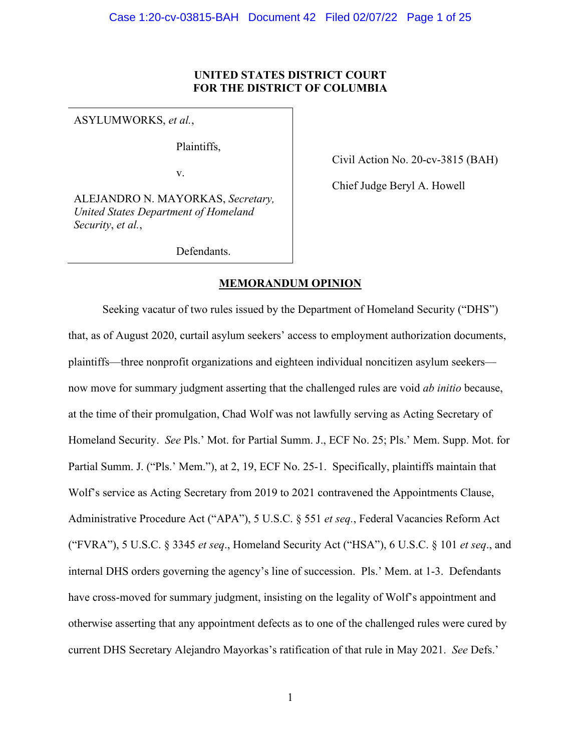## **UNITED STATES DISTRICT COURT FOR THE DISTRICT OF COLUMBIA**

ASYLUMWORKS, *et al.*,

Plaintiffs,

v.

ALEJANDRO N. MAYORKAS, *Secretary, United States Department of Homeland Security*, *et al.*,

Civil Action No. 20-cv-3815 (BAH)

Chief Judge Beryl A. Howell

Defendants.

### **MEMORANDUM OPINION**

Seeking vacatur of two rules issued by the Department of Homeland Security ("DHS") that, as of August 2020, curtail asylum seekers' access to employment authorization documents, plaintiffs—three nonprofit organizations and eighteen individual noncitizen asylum seekers now move for summary judgment asserting that the challenged rules are void *ab initio* because, at the time of their promulgation, Chad Wolf was not lawfully serving as Acting Secretary of Homeland Security. *See* Pls.' Mot. for Partial Summ. J., ECF No. 25; Pls.' Mem. Supp. Mot. for Partial Summ. J. ("Pls.' Mem."), at 2, 19, ECF No. 25-1. Specifically, plaintiffs maintain that Wolf's service as Acting Secretary from 2019 to 2021 contravened the Appointments Clause, Administrative Procedure Act ("APA"), 5 U.S.C. § 551 *et seq.*, Federal Vacancies Reform Act ("FVRA"), 5 U.S.C. § 3345 *et seq*., Homeland Security Act ("HSA"), 6 U.S.C. § 101 *et seq*., and internal DHS orders governing the agency's line of succession. Pls.' Mem. at 1-3. Defendants have cross-moved for summary judgment, insisting on the legality of Wolf's appointment and otherwise asserting that any appointment defects as to one of the challenged rules were cured by current DHS Secretary Alejandro Mayorkas's ratification of that rule in May 2021. *See* Defs.'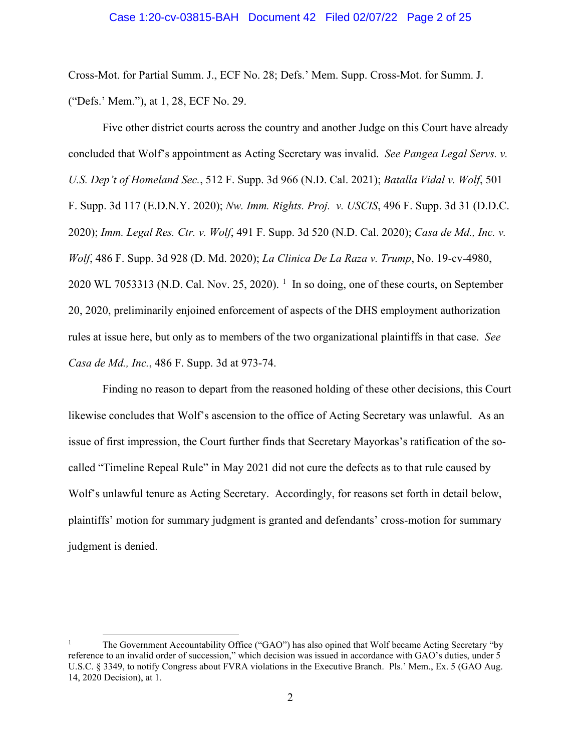### Case 1:20-cv-03815-BAH Document 42 Filed 02/07/22 Page 2 of 25

Cross-Mot. for Partial Summ. J., ECF No. 28; Defs.' Mem. Supp. Cross-Mot. for Summ. J. ("Defs.' Mem."), at 1, 28, ECF No. 29.

Five other district courts across the country and another Judge on this Court have already concluded that Wolf's appointment as Acting Secretary was invalid. *See Pangea Legal Servs. v. U.S. Dep't of Homeland Sec.*, 512 F. Supp. 3d 966 (N.D. Cal. 2021); *Batalla Vidal v. Wolf*, 501 F. Supp. 3d 117 (E.D.N.Y. 2020); *Nw. Imm. Rights. Proj. v. USCIS*, 496 F. Supp. 3d 31 (D.D.C. 2020); *Imm. Legal Res. Ctr. v. Wolf*, 491 F. Supp. 3d 520 (N.D. Cal. 2020); *Casa de Md., Inc. v. Wolf*, 486 F. Supp. 3d 928 (D. Md. 2020); *La Clinica De La Raza v. Trump*, No. 19-cv-4980, 2020 WL 70533[1](#page-1-0)3 (N.D. Cal. Nov. 25, 2020).  $^1$  In so doing, one of these courts, on September 20, 2020, preliminarily enjoined enforcement of aspects of the DHS employment authorization rules at issue here, but only as to members of the two organizational plaintiffs in that case. *See Casa de Md., Inc.*, 486 F. Supp. 3d at 973-74.

Finding no reason to depart from the reasoned holding of these other decisions, this Court likewise concludes that Wolf's ascension to the office of Acting Secretary was unlawful. As an issue of first impression, the Court further finds that Secretary Mayorkas's ratification of the socalled "Timeline Repeal Rule" in May 2021 did not cure the defects as to that rule caused by Wolf's unlawful tenure as Acting Secretary. Accordingly, for reasons set forth in detail below, plaintiffs' motion for summary judgment is granted and defendants' cross-motion for summary judgment is denied.

<span id="page-1-0"></span><sup>1</sup> The Government Accountability Office ("GAO") has also opined that Wolf became Acting Secretary "by reference to an invalid order of succession," which decision was issued in accordance with GAO's duties, under 5 U.S.C. § 3349, to notify Congress about FVRA violations in the Executive Branch. Pls.' Mem., Ex. 5 (GAO Aug. 14, 2020 Decision), at 1.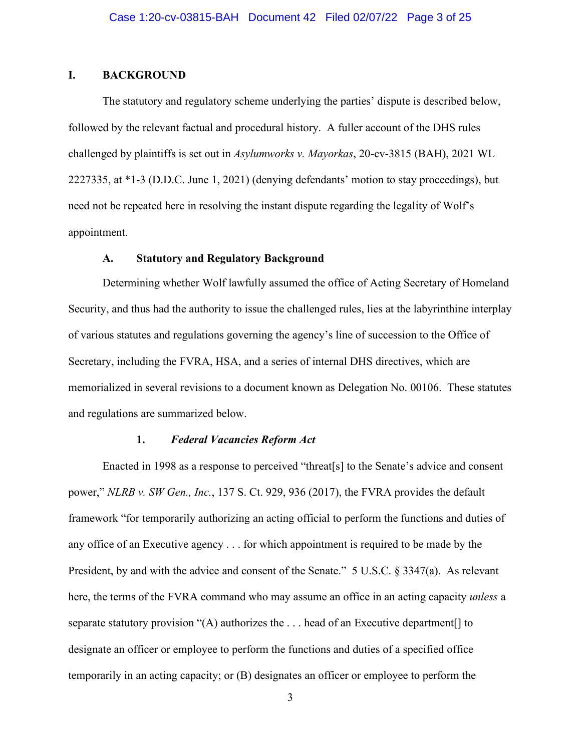## **I. BACKGROUND**

The statutory and regulatory scheme underlying the parties' dispute is described below, followed by the relevant factual and procedural history. A fuller account of the DHS rules challenged by plaintiffs is set out in *Asylumworks v. Mayorkas*, 20-cv-3815 (BAH), 2021 WL 2227335, at \*1-3 (D.D.C. June 1, 2021) (denying defendants' motion to stay proceedings), but need not be repeated here in resolving the instant dispute regarding the legality of Wolf's appointment.

## **A. Statutory and Regulatory Background**

Determining whether Wolf lawfully assumed the office of Acting Secretary of Homeland Security, and thus had the authority to issue the challenged rules, lies at the labyrinthine interplay of various statutes and regulations governing the agency's line of succession to the Office of Secretary, including the FVRA, HSA, and a series of internal DHS directives, which are memorialized in several revisions to a document known as Delegation No. 00106. These statutes and regulations are summarized below.

## **1.** *Federal Vacancies Reform Act*

Enacted in 1998 as a response to perceived "threat[s] to the Senate's advice and consent power," *NLRB v. SW Gen., Inc.*, 137 S. Ct. 929, 936 (2017), the FVRA provides the default framework "for temporarily authorizing an acting official to perform the functions and duties of any office of an Executive agency . . . for which appointment is required to be made by the President, by and with the advice and consent of the Senate." 5 U.S.C. § 3347(a). As relevant here, the terms of the FVRA command who may assume an office in an acting capacity *unless* a separate statutory provision "(A) authorizes the . . . head of an Executive department[] to designate an officer or employee to perform the functions and duties of a specified office temporarily in an acting capacity; or (B) designates an officer or employee to perform the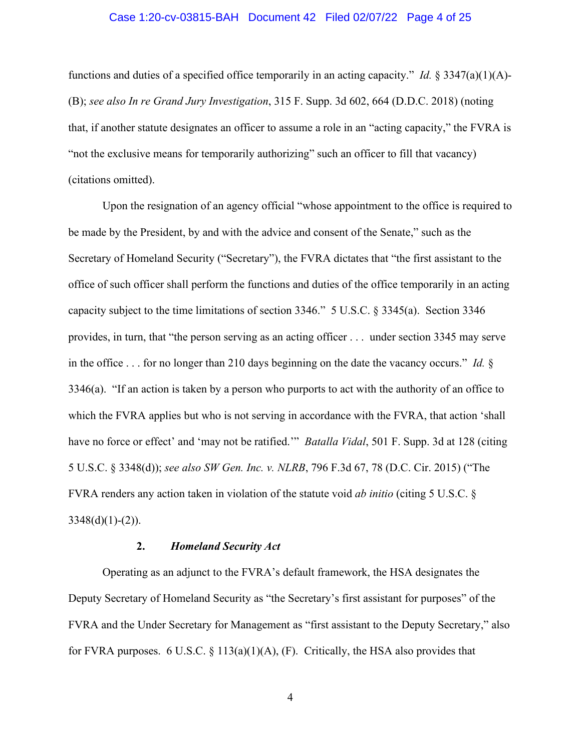### Case 1:20-cv-03815-BAH Document 42 Filed 02/07/22 Page 4 of 25

functions and duties of a specified office temporarily in an acting capacity." *Id.*  $\S 3347(a)(1)(A)$ -(B); *see also In re Grand Jury Investigation*, 315 F. Supp. 3d 602, 664 (D.D.C. 2018) (noting that, if another statute designates an officer to assume a role in an "acting capacity," the FVRA is "not the exclusive means for temporarily authorizing" such an officer to fill that vacancy) (citations omitted).

Upon the resignation of an agency official "whose appointment to the office is required to be made by the President, by and with the advice and consent of the Senate," such as the Secretary of Homeland Security ("Secretary"), the FVRA dictates that "the first assistant to the office of such officer shall perform the functions and duties of the office temporarily in an acting capacity subject to the time limitations of section 3346." 5 U.S.C. § 3345(a). Section 3346 provides, in turn, that "the person serving as an acting officer . . . under section 3345 may serve in the office . . . for no longer than 210 days beginning on the date the vacancy occurs." *Id.* § 3346(a). "If an action is taken by a person who purports to act with the authority of an office to which the FVRA applies but who is not serving in accordance with the FVRA, that action 'shall have no force or effect' and 'may not be ratified.'" *Batalla Vidal*, 501 F. Supp. 3d at 128 (citing 5 U.S.C. § 3348(d)); *see also SW Gen. Inc. v. NLRB*, 796 F.3d 67, 78 (D.C. Cir. 2015) ("The FVRA renders any action taken in violation of the statute void *ab initio* (citing 5 U.S.C. §  $3348(d)(1)-(2)$ ).

#### **2.** *Homeland Security Act*

Operating as an adjunct to the FVRA's default framework, the HSA designates the Deputy Secretary of Homeland Security as "the Secretary's first assistant for purposes" of the FVRA and the Under Secretary for Management as "first assistant to the Deputy Secretary," also for FVRA purposes. 6 U.S.C. § 113(a)(1)(A), (F). Critically, the HSA also provides that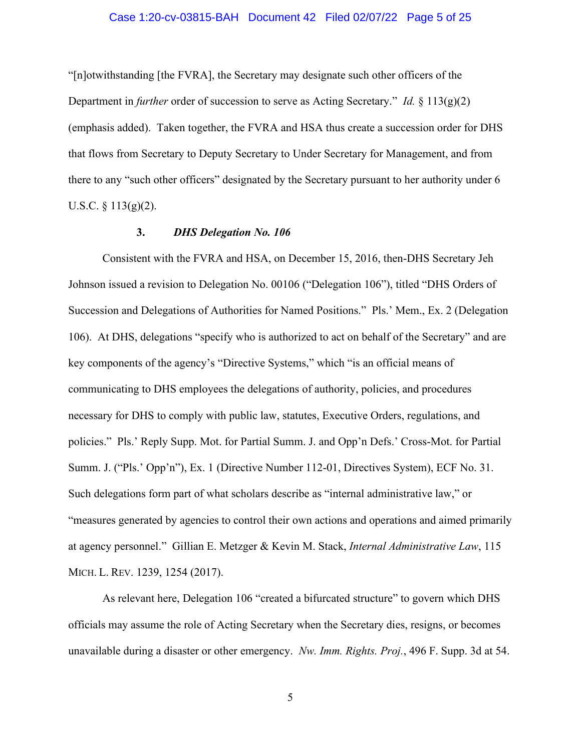### Case 1:20-cv-03815-BAH Document 42 Filed 02/07/22 Page 5 of 25

"[n]otwithstanding [the FVRA], the Secretary may designate such other officers of the Department in *further* order of succession to serve as Acting Secretary." *Id.* § 113(g)(2) (emphasis added). Taken together, the FVRA and HSA thus create a succession order for DHS that flows from Secretary to Deputy Secretary to Under Secretary for Management, and from there to any "such other officers" designated by the Secretary pursuant to her authority under 6 U.S.C.  $\S$  113(g)(2).

### **3.** *DHS Delegation No. 106*

Consistent with the FVRA and HSA, on December 15, 2016, then-DHS Secretary Jeh Johnson issued a revision to Delegation No. 00106 ("Delegation 106"), titled "DHS Orders of Succession and Delegations of Authorities for Named Positions." Pls.' Mem., Ex. 2 (Delegation 106). At DHS, delegations "specify who is authorized to act on behalf of the Secretary" and are key components of the agency's "Directive Systems," which "is an official means of communicating to DHS employees the delegations of authority, policies, and procedures necessary for DHS to comply with public law, statutes, Executive Orders, regulations, and policies." Pls.' Reply Supp. Mot. for Partial Summ. J. and Opp'n Defs.' Cross-Mot. for Partial Summ. J. ("Pls.' Opp'n"), Ex. 1 (Directive Number 112-01, Directives System), ECF No. 31. Such delegations form part of what scholars describe as "internal administrative law," or "measures generated by agencies to control their own actions and operations and aimed primarily at agency personnel." Gillian E. Metzger & Kevin M. Stack, *Internal Administrative Law*, 115 MICH. L. REV. 1239, 1254 (2017).

As relevant here, Delegation 106 "created a bifurcated structure" to govern which DHS officials may assume the role of Acting Secretary when the Secretary dies, resigns, or becomes unavailable during a disaster or other emergency. *Nw. Imm. Rights. Proj.*, 496 F. Supp. 3d at 54.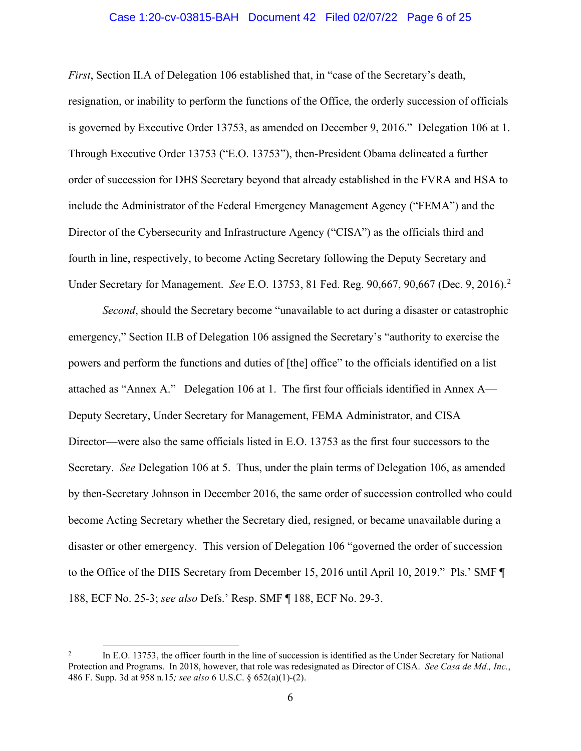### Case 1:20-cv-03815-BAH Document 42 Filed 02/07/22 Page 6 of 25

*First*, Section II.A of Delegation 106 established that, in "case of the Secretary's death, resignation, or inability to perform the functions of the Office, the orderly succession of officials is governed by Executive Order 13753, as amended on December 9, 2016." Delegation 106 at 1. Through Executive Order 13753 ("E.O. 13753"), then-President Obama delineated a further order of succession for DHS Secretary beyond that already established in the FVRA and HSA to include the Administrator of the Federal Emergency Management Agency ("FEMA") and the Director of the Cybersecurity and Infrastructure Agency ("CISA") as the officials third and fourth in line, respectively, to become Acting Secretary following the Deputy Secretary and Under Secretary for Management. *See* E.O. 13753, 81 Fed. Reg. 90,667, 90,667 (Dec. 9, 2016). [2](#page-5-0)

*Second*, should the Secretary become "unavailable to act during a disaster or catastrophic emergency," Section II.B of Delegation 106 assigned the Secretary's "authority to exercise the powers and perform the functions and duties of [the] office" to the officials identified on a list attached as "Annex A." Delegation 106 at 1. The first four officials identified in Annex A— Deputy Secretary, Under Secretary for Management, FEMA Administrator, and CISA Director—were also the same officials listed in E.O. 13753 as the first four successors to the Secretary. *See* Delegation 106 at 5. Thus, under the plain terms of Delegation 106, as amended by then-Secretary Johnson in December 2016, the same order of succession controlled who could become Acting Secretary whether the Secretary died, resigned, or became unavailable during a disaster or other emergency. This version of Delegation 106 "governed the order of succession to the Office of the DHS Secretary from December 15, 2016 until April 10, 2019." Pls.' SMF ¶ 188, ECF No. 25-3; *see also* Defs.' Resp. SMF ¶ 188, ECF No. 29-3.

<span id="page-5-0"></span><sup>2</sup> In E.O. 13753, the officer fourth in the line of succession is identified as the Under Secretary for National Protection and Programs. In 2018, however, that role was redesignated as Director of CISA. *See Casa de Md., Inc.*, 486 F. Supp. 3d at 958 n.15*; see also* 6 U.S.C. § 652(a)(1)-(2).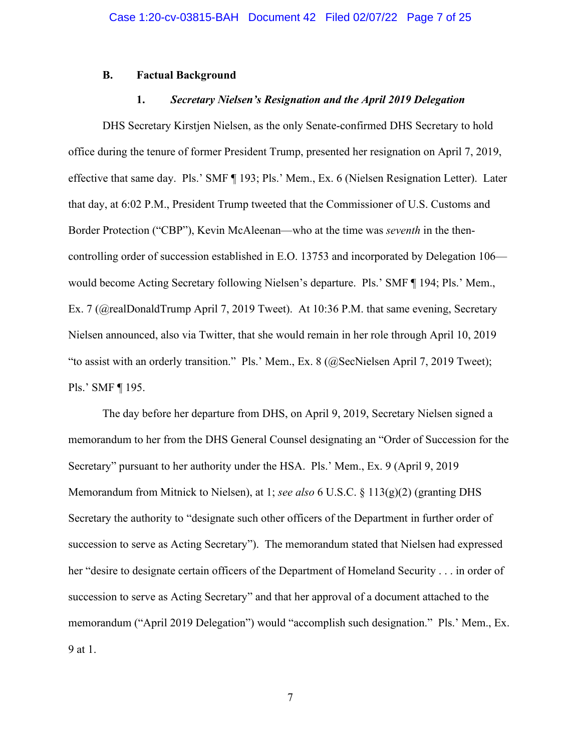### **B. Factual Background**

#### **1.** *Secretary Nielsen's Resignation and the April 2019 Delegation*

DHS Secretary Kirstjen Nielsen, as the only Senate-confirmed DHS Secretary to hold office during the tenure of former President Trump, presented her resignation on April 7, 2019, effective that same day. Pls.' SMF ¶ 193; Pls.' Mem., Ex. 6 (Nielsen Resignation Letter). Later that day, at 6:02 P.M., President Trump tweeted that the Commissioner of U.S. Customs and Border Protection ("CBP"), Kevin McAleenan—who at the time was *seventh* in the thencontrolling order of succession established in E.O. 13753 and incorporated by Delegation 106 would become Acting Secretary following Nielsen's departure. Pls.' SMF ¶ 194; Pls.' Mem., Ex. 7 (@realDonaldTrump April 7, 2019 Tweet). At 10:36 P.M. that same evening, Secretary Nielsen announced, also via Twitter, that she would remain in her role through April 10, 2019 "to assist with an orderly transition." Pls.' Mem., Ex. 8 (@SecNielsen April 7, 2019 Tweet); Pls.' SMF ¶ 195.

The day before her departure from DHS, on April 9, 2019, Secretary Nielsen signed a memorandum to her from the DHS General Counsel designating an "Order of Succession for the Secretary" pursuant to her authority under the HSA. Pls.' Mem., Ex. 9 (April 9, 2019 Memorandum from Mitnick to Nielsen), at 1; *see also* 6 U.S.C. § 113(g)(2) (granting DHS Secretary the authority to "designate such other officers of the Department in further order of succession to serve as Acting Secretary"). The memorandum stated that Nielsen had expressed her "desire to designate certain officers of the Department of Homeland Security . . . in order of succession to serve as Acting Secretary" and that her approval of a document attached to the memorandum ("April 2019 Delegation") would "accomplish such designation." Pls.' Mem., Ex. 9 at 1.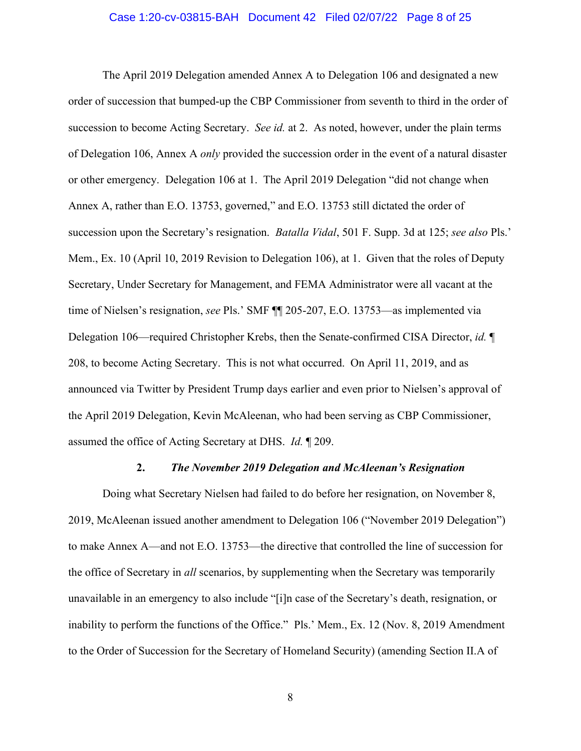### Case 1:20-cv-03815-BAH Document 42 Filed 02/07/22 Page 8 of 25

The April 2019 Delegation amended Annex A to Delegation 106 and designated a new order of succession that bumped-up the CBP Commissioner from seventh to third in the order of succession to become Acting Secretary. *See id.* at 2. As noted, however, under the plain terms of Delegation 106, Annex A *only* provided the succession order in the event of a natural disaster or other emergency. Delegation 106 at 1. The April 2019 Delegation "did not change when Annex A, rather than E.O. 13753, governed," and E.O. 13753 still dictated the order of succession upon the Secretary's resignation. *Batalla Vidal*, 501 F. Supp. 3d at 125; *see also* Pls.' Mem., Ex. 10 (April 10, 2019 Revision to Delegation 106), at 1. Given that the roles of Deputy Secretary, Under Secretary for Management, and FEMA Administrator were all vacant at the time of Nielsen's resignation, *see* Pls.' SMF ¶¶ 205-207, E.O. 13753—as implemented via Delegation 106—required Christopher Krebs, then the Senate-confirmed CISA Director, *id.* ¶ 208, to become Acting Secretary. This is not what occurred. On April 11, 2019, and as announced via Twitter by President Trump days earlier and even prior to Nielsen's approval of the April 2019 Delegation, Kevin McAleenan, who had been serving as CBP Commissioner, assumed the office of Acting Secretary at DHS. *Id.* ¶ 209.

#### **2.** *The November 2019 Delegation and McAleenan's Resignation*

Doing what Secretary Nielsen had failed to do before her resignation, on November 8, 2019, McAleenan issued another amendment to Delegation 106 ("November 2019 Delegation") to make Annex A—and not E.O. 13753—the directive that controlled the line of succession for the office of Secretary in *all* scenarios, by supplementing when the Secretary was temporarily unavailable in an emergency to also include "[i]n case of the Secretary's death, resignation, or inability to perform the functions of the Office." Pls.' Mem., Ex. 12 (Nov. 8, 2019 Amendment to the Order of Succession for the Secretary of Homeland Security) (amending Section II.A of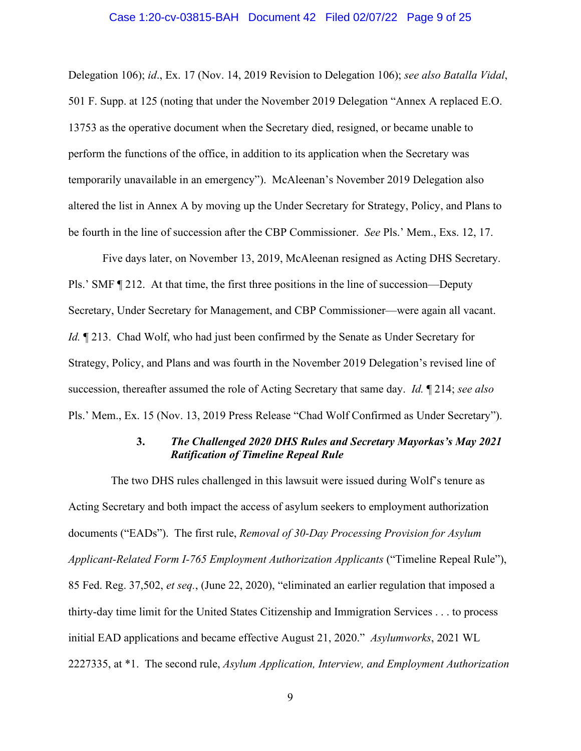### Case 1:20-cv-03815-BAH Document 42 Filed 02/07/22 Page 9 of 25

Delegation 106); *id*., Ex. 17 (Nov. 14, 2019 Revision to Delegation 106); *see also Batalla Vidal*, 501 F. Supp. at 125 (noting that under the November 2019 Delegation "Annex A replaced E.O. 13753 as the operative document when the Secretary died, resigned, or became unable to perform the functions of the office, in addition to its application when the Secretary was temporarily unavailable in an emergency"). McAleenan's November 2019 Delegation also altered the list in Annex A by moving up the Under Secretary for Strategy, Policy, and Plans to be fourth in the line of succession after the CBP Commissioner. *See* Pls.' Mem., Exs. 12, 17.

Five days later, on November 13, 2019, McAleenan resigned as Acting DHS Secretary. Pls.' SMF ¶ 212. At that time, the first three positions in the line of succession—Deputy Secretary, Under Secretary for Management, and CBP Commissioner—were again all vacant. *Id.*  $\mathbb{I}$  213. Chad Wolf, who had just been confirmed by the Senate as Under Secretary for Strategy, Policy, and Plans and was fourth in the November 2019 Delegation's revised line of succession, thereafter assumed the role of Acting Secretary that same day. *Id.* ¶ 214; *see also* Pls.' Mem., Ex. 15 (Nov. 13, 2019 Press Release "Chad Wolf Confirmed as Under Secretary").

## **3.** *The Challenged 2020 DHS Rules and Secretary Mayorkas's May 2021 Ratification of Timeline Repeal Rule*

 The two DHS rules challenged in this lawsuit were issued during Wolf's tenure as Acting Secretary and both impact the access of asylum seekers to employment authorization documents ("EADs"). The first rule, *Removal of 30-Day Processing Provision for Asylum Applicant-Related Form I-765 Employment Authorization Applicants* ("Timeline Repeal Rule"), 85 Fed. Reg. 37,502, *et seq.*, (June 22, 2020), "eliminated an earlier regulation that imposed a thirty-day time limit for the United States Citizenship and Immigration Services . . . to process initial EAD applications and became effective August 21, 2020." *Asylumworks*, 2021 WL 2227335, at \*1. The second rule, *Asylum Application, Interview, and Employment Authorization*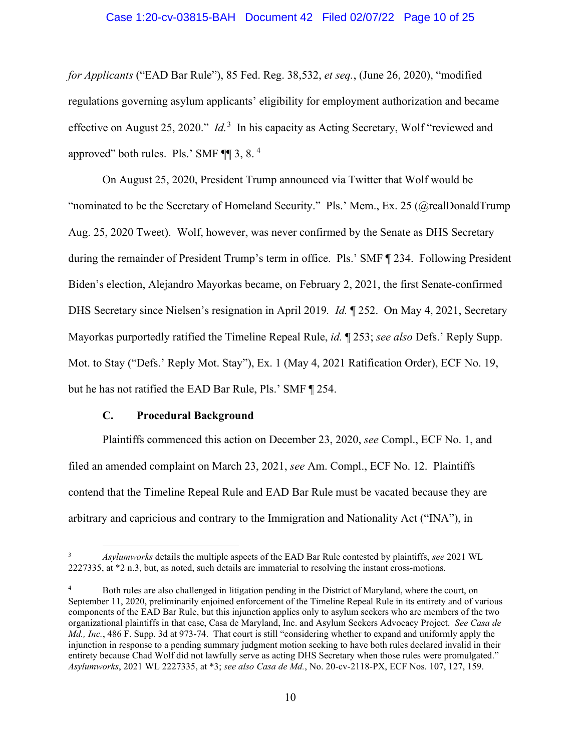### Case 1:20-cv-03815-BAH Document 42 Filed 02/07/22 Page 10 of 25

*for Applicants* ("EAD Bar Rule"), 85 Fed. Reg. 38,532, *et seq.*, (June 26, 2020), "modified regulations governing asylum applicants' eligibility for employment authorization and became effective on August 25, 2020." *Id.*[3](#page-9-0) In his capacity as Acting Secretary, Wolf "reviewed and approved" both rules. Pls.' SMF  $\P$  3, 8.<sup>[4](#page-9-1)</sup>

On August 25, 2020, President Trump announced via Twitter that Wolf would be "nominated to be the Secretary of Homeland Security." Pls.' Mem., Ex. 25 (@realDonaldTrump Aug. 25, 2020 Tweet). Wolf, however, was never confirmed by the Senate as DHS Secretary during the remainder of President Trump's term in office. Pls.' SMF ¶ 234. Following President Biden's election, Alejandro Mayorkas became, on February 2, 2021, the first Senate-confirmed DHS Secretary since Nielsen's resignation in April 2019*. Id.* ¶ 252. On May 4, 2021, Secretary Mayorkas purportedly ratified the Timeline Repeal Rule, *id.* ¶ 253; *see also* Defs.' Reply Supp. Mot. to Stay ("Defs.' Reply Mot. Stay"), Ex. 1 (May 4, 2021 Ratification Order), ECF No. 19, but he has not ratified the EAD Bar Rule, Pls.' SMF ¶ 254.

## **C. Procedural Background**

Plaintiffs commenced this action on December 23, 2020, *see* Compl., ECF No. 1, and filed an amended complaint on March 23, 2021, *see* Am. Compl., ECF No. 12. Plaintiffs contend that the Timeline Repeal Rule and EAD Bar Rule must be vacated because they are arbitrary and capricious and contrary to the Immigration and Nationality Act ("INA"), in

<span id="page-9-0"></span><sup>3</sup> *Asylumworks* details the multiple aspects of the EAD Bar Rule contested by plaintiffs, *see* 2021 WL 2227335, at \*2 n.3, but, as noted, such details are immaterial to resolving the instant cross-motions.

<span id="page-9-1"></span><sup>4</sup> Both rules are also challenged in litigation pending in the District of Maryland, where the court, on September 11, 2020, preliminarily enjoined enforcement of the Timeline Repeal Rule in its entirety and of various components of the EAD Bar Rule, but this injunction applies only to asylum seekers who are members of the two organizational plaintiffs in that case, Casa de Maryland, Inc. and Asylum Seekers Advocacy Project. *See Casa de Md., Inc.*, 486 F. Supp. 3d at 973-74. That court is still "considering whether to expand and uniformly apply the injunction in response to a pending summary judgment motion seeking to have both rules declared invalid in their entirety because Chad Wolf did not lawfully serve as acting DHS Secretary when those rules were promulgated." *Asylumworks*, 2021 WL 2227335, at \*3; *see also Casa de Md.*, No. 20-cv-2118-PX, ECF Nos. 107, 127, 159.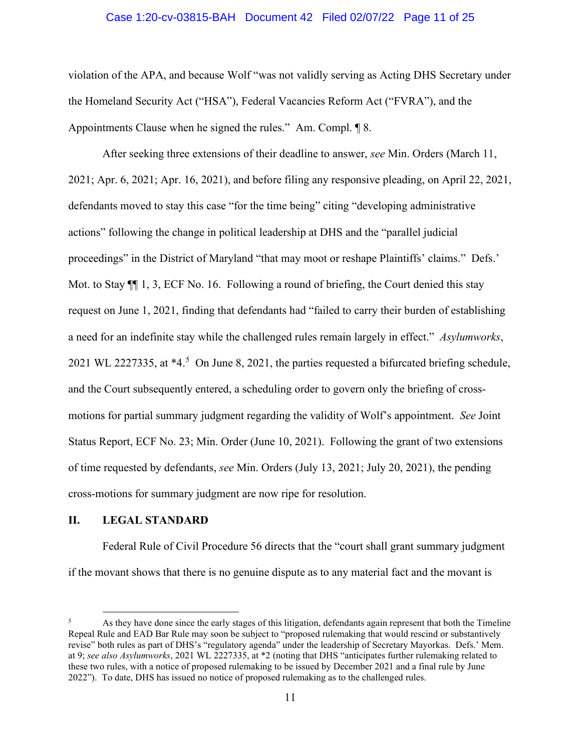### Case 1:20-cv-03815-BAH Document 42 Filed 02/07/22 Page 11 of 25

violation of the APA, and because Wolf "was not validly serving as Acting DHS Secretary under the Homeland Security Act ("HSA"), Federal Vacancies Reform Act ("FVRA"), and the Appointments Clause when he signed the rules." Am. Compl. ¶ 8.

After seeking three extensions of their deadline to answer, *see* Min. Orders (March 11, 2021; Apr. 6, 2021; Apr. 16, 2021), and before filing any responsive pleading, on April 22, 2021, defendants moved to stay this case "for the time being" citing "developing administrative actions" following the change in political leadership at DHS and the "parallel judicial proceedings" in the District of Maryland "that may moot or reshape Plaintiffs' claims." Defs.' Mot. to Stay  $\P$  1, 3, ECF No. 16. Following a round of briefing, the Court denied this stay request on June 1, 2021, finding that defendants had "failed to carry their burden of establishing a need for an indefinite stay while the challenged rules remain largely in effect." *Asylumworks*, 2021 WL 222733[5](#page-10-0), at  $*4.5$  On June 8, 2021, the parties requested a bifurcated briefing schedule, and the Court subsequently entered, a scheduling order to govern only the briefing of crossmotions for partial summary judgment regarding the validity of Wolf's appointment. *See* Joint Status Report, ECF No. 23; Min. Order (June 10, 2021). Following the grant of two extensions of time requested by defendants, *see* Min. Orders (July 13, 2021; July 20, 2021), the pending cross-motions for summary judgment are now ripe for resolution.

### **II. LEGAL STANDARD**

Federal Rule of Civil Procedure 56 directs that the "court shall grant summary judgment if the movant shows that there is no genuine dispute as to any material fact and the movant is

<span id="page-10-0"></span><sup>5</sup> As they have done since the early stages of this litigation, defendants again represent that both the Timeline Repeal Rule and EAD Bar Rule may soon be subject to "proposed rulemaking that would rescind or substantively revise" both rules as part of DHS's "regulatory agenda" under the leadership of Secretary Mayorkas. Defs.' Mem. at 9; *see also Asylumworks*, 2021 WL 2227335, at \*2 (noting that DHS "anticipates further rulemaking related to these two rules, with a notice of proposed rulemaking to be issued by December 2021 and a final rule by June 2022"). To date, DHS has issued no notice of proposed rulemaking as to the challenged rules.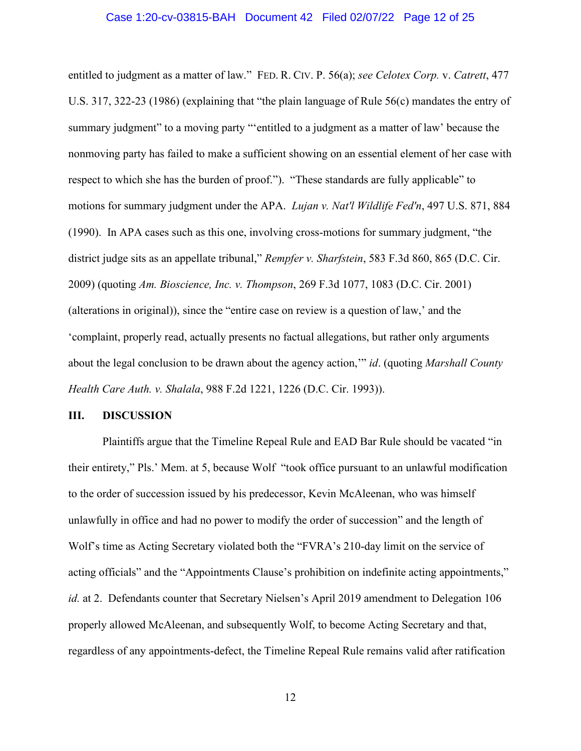### Case 1:20-cv-03815-BAH Document 42 Filed 02/07/22 Page 12 of 25

entitled to judgment as a matter of law." FED. R. CIV. P. 56(a); *see Celotex Corp.* v. *Catrett*, 477 U.S. 317, 322-23 (1986) (explaining that "the plain language of Rule 56(c) mandates the entry of summary judgment" to a moving party "'entitled to a judgment as a matter of law' because the nonmoving party has failed to make a sufficient showing on an essential element of her case with respect to which she has the burden of proof."). "These standards are fully applicable" to motions for summary judgment under the APA. *Lujan v. Nat'l Wildlife Fed'n*, 497 U.S. 871, 884 (1990). In APA cases such as this one, involving cross-motions for summary judgment, "the district judge sits as an appellate tribunal," *Rempfer v. Sharfstein*, 583 F.3d 860, 865 (D.C. Cir. 2009) (quoting *Am. Bioscience, Inc. v. Thompson*, 269 F.3d 1077, 1083 (D.C. Cir. 2001) (alterations in original)), since the "entire case on review is a question of law,' and the 'complaint, properly read, actually presents no factual allegations, but rather only arguments about the legal conclusion to be drawn about the agency action,'" *id*. (quoting *Marshall County Health Care Auth. v. Shalala*, 988 F.2d 1221, 1226 (D.C. Cir. 1993)).

### **III. DISCUSSION**

Plaintiffs argue that the Timeline Repeal Rule and EAD Bar Rule should be vacated "in their entirety," Pls.' Mem. at 5, because Wolf "took office pursuant to an unlawful modification to the order of succession issued by his predecessor, Kevin McAleenan, who was himself unlawfully in office and had no power to modify the order of succession" and the length of Wolf's time as Acting Secretary violated both the "FVRA's 210-day limit on the service of acting officials" and the "Appointments Clause's prohibition on indefinite acting appointments," *id.* at 2. Defendants counter that Secretary Nielsen's April 2019 amendment to Delegation 106 properly allowed McAleenan, and subsequently Wolf, to become Acting Secretary and that, regardless of any appointments-defect, the Timeline Repeal Rule remains valid after ratification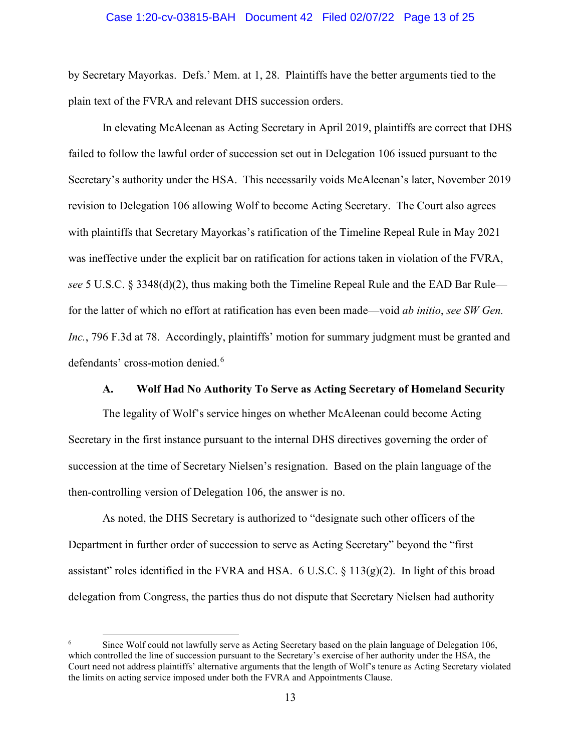### Case 1:20-cv-03815-BAH Document 42 Filed 02/07/22 Page 13 of 25

by Secretary Mayorkas. Defs.' Mem. at 1, 28. Plaintiffs have the better arguments tied to the plain text of the FVRA and relevant DHS succession orders.

In elevating McAleenan as Acting Secretary in April 2019, plaintiffs are correct that DHS failed to follow the lawful order of succession set out in Delegation 106 issued pursuant to the Secretary's authority under the HSA. This necessarily voids McAleenan's later, November 2019 revision to Delegation 106 allowing Wolf to become Acting Secretary. The Court also agrees with plaintiffs that Secretary Mayorkas's ratification of the Timeline Repeal Rule in May 2021 was ineffective under the explicit bar on ratification for actions taken in violation of the FVRA, *see* 5 U.S.C. § 3348(d)(2), thus making both the Timeline Repeal Rule and the EAD Bar Rule for the latter of which no effort at ratification has even been made—void *ab initio*, *see SW Gen. Inc.*, 796 F.3d at 78. Accordingly, plaintiffs' motion for summary judgment must be granted and defendants' cross-motion denied.<sup>[6](#page-12-0)</sup>

### **A. Wolf Had No Authority To Serve as Acting Secretary of Homeland Security**

The legality of Wolf's service hinges on whether McAleenan could become Acting Secretary in the first instance pursuant to the internal DHS directives governing the order of succession at the time of Secretary Nielsen's resignation. Based on the plain language of the then-controlling version of Delegation 106, the answer is no.

As noted, the DHS Secretary is authorized to "designate such other officers of the Department in further order of succession to serve as Acting Secretary" beyond the "first assistant" roles identified in the FVRA and HSA.  $6$  U.S.C.  $§$  113(g)(2). In light of this broad delegation from Congress, the parties thus do not dispute that Secretary Nielsen had authority

<span id="page-12-0"></span><sup>6</sup> Since Wolf could not lawfully serve as Acting Secretary based on the plain language of Delegation 106, which controlled the line of succession pursuant to the Secretary's exercise of her authority under the HSA, the Court need not address plaintiffs' alternative arguments that the length of Wolf's tenure as Acting Secretary violated the limits on acting service imposed under both the FVRA and Appointments Clause.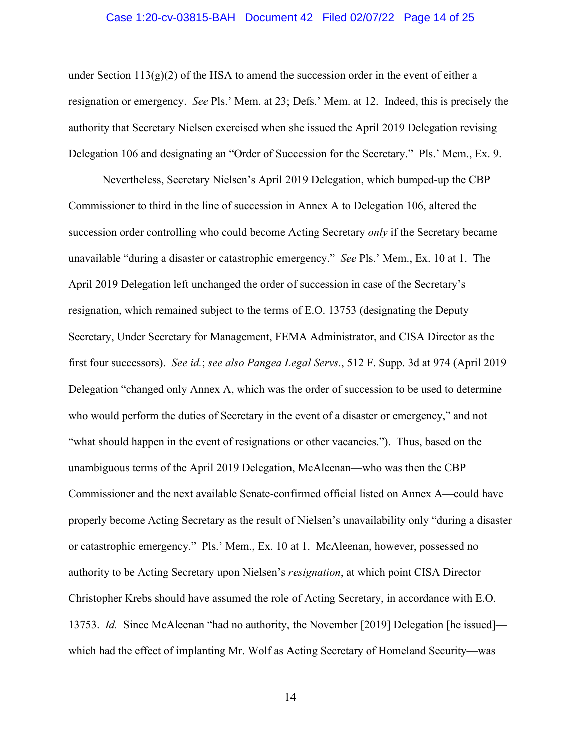### Case 1:20-cv-03815-BAH Document 42 Filed 02/07/22 Page 14 of 25

under Section  $113(g)(2)$  of the HSA to amend the succession order in the event of either a resignation or emergency. *See* Pls.' Mem. at 23; Defs.' Mem. at 12. Indeed, this is precisely the authority that Secretary Nielsen exercised when she issued the April 2019 Delegation revising Delegation 106 and designating an "Order of Succession for the Secretary." Pls.' Mem., Ex. 9.

Nevertheless, Secretary Nielsen's April 2019 Delegation, which bumped-up the CBP Commissioner to third in the line of succession in Annex A to Delegation 106, altered the succession order controlling who could become Acting Secretary *only* if the Secretary became unavailable "during a disaster or catastrophic emergency." *See* Pls.' Mem., Ex. 10 at 1. The April 2019 Delegation left unchanged the order of succession in case of the Secretary's resignation, which remained subject to the terms of E.O. 13753 (designating the Deputy Secretary, Under Secretary for Management, FEMA Administrator, and CISA Director as the first four successors). *See id.*; *see also Pangea Legal Servs.*, 512 F. Supp. 3d at 974 (April 2019 Delegation "changed only Annex A, which was the order of succession to be used to determine who would perform the duties of Secretary in the event of a disaster or emergency," and not "what should happen in the event of resignations or other vacancies."). Thus, based on the unambiguous terms of the April 2019 Delegation, McAleenan—who was then the CBP Commissioner and the next available Senate-confirmed official listed on Annex A—could have properly become Acting Secretary as the result of Nielsen's unavailability only "during a disaster or catastrophic emergency." Pls.' Mem., Ex. 10 at 1. McAleenan, however, possessed no authority to be Acting Secretary upon Nielsen's *resignation*, at which point CISA Director Christopher Krebs should have assumed the role of Acting Secretary, in accordance with E.O. 13753. *Id.* Since McAleenan "had no authority, the November [2019] Delegation [he issued] which had the effect of implanting Mr. Wolf as Acting Secretary of Homeland Security—was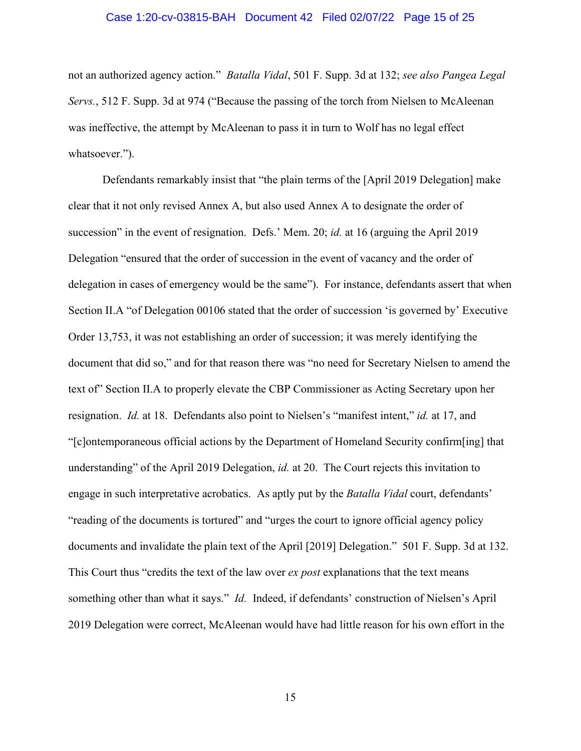### Case 1:20-cv-03815-BAH Document 42 Filed 02/07/22 Page 15 of 25

not an authorized agency action." *Batalla Vidal*, 501 F. Supp. 3d at 132; *see also Pangea Legal Servs.*, 512 F. Supp. 3d at 974 ("Because the passing of the torch from Nielsen to McAleenan was ineffective, the attempt by McAleenan to pass it in turn to Wolf has no legal effect whatsoever.").

Defendants remarkably insist that "the plain terms of the [April 2019 Delegation] make clear that it not only revised Annex A, but also used Annex A to designate the order of succession" in the event of resignation. Defs.' Mem. 20; *id.* at 16 (arguing the April 2019 Delegation "ensured that the order of succession in the event of vacancy and the order of delegation in cases of emergency would be the same"). For instance, defendants assert that when Section II.A "of Delegation 00106 stated that the order of succession 'is governed by' Executive Order 13,753, it was not establishing an order of succession; it was merely identifying the document that did so," and for that reason there was "no need for Secretary Nielsen to amend the text of" Section II.A to properly elevate the CBP Commissioner as Acting Secretary upon her resignation. *Id.* at 18. Defendants also point to Nielsen's "manifest intent," *id.* at 17, and "[c]ontemporaneous official actions by the Department of Homeland Security confirm[ing] that understanding" of the April 2019 Delegation, *id.* at 20. The Court rejects this invitation to engage in such interpretative acrobatics. As aptly put by the *Batalla Vidal* court, defendants' "reading of the documents is tortured" and "urges the court to ignore official agency policy documents and invalidate the plain text of the April [2019] Delegation." 501 F. Supp. 3d at 132. This Court thus "credits the text of the law over *ex post* explanations that the text means something other than what it says." *Id.* Indeed, if defendants' construction of Nielsen's April 2019 Delegation were correct, McAleenan would have had little reason for his own effort in the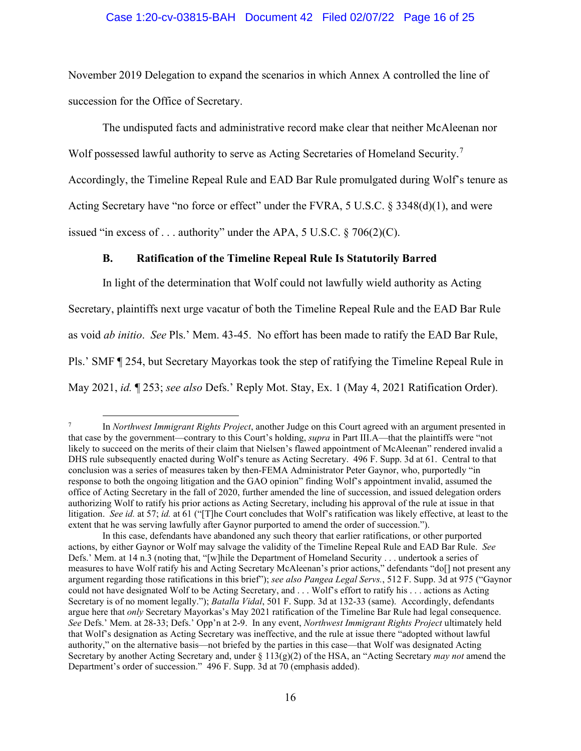### Case 1:20-cv-03815-BAH Document 42 Filed 02/07/22 Page 16 of 25

November 2019 Delegation to expand the scenarios in which Annex A controlled the line of succession for the Office of Secretary.

The undisputed facts and administrative record make clear that neither McAleenan nor Wolf possessed lawful authority to serve as Acting Secretaries of Homeland Security.<sup>[7](#page-15-0)</sup> Accordingly, the Timeline Repeal Rule and EAD Bar Rule promulgated during Wolf's tenure as Acting Secretary have "no force or effect" under the FVRA, 5 U.S.C. § 3348(d)(1), and were issued "in excess of  $\dots$  authority" under the APA, 5 U.S.C. § 706(2)(C).

### **B. Ratification of the Timeline Repeal Rule Is Statutorily Barred**

In light of the determination that Wolf could not lawfully wield authority as Acting Secretary, plaintiffs next urge vacatur of both the Timeline Repeal Rule and the EAD Bar Rule as void *ab initio*. *See* Pls.' Mem. 43-45. No effort has been made to ratify the EAD Bar Rule, Pls.' SMF ¶ 254, but Secretary Mayorkas took the step of ratifying the Timeline Repeal Rule in May 2021, *id.* ¶ 253; *see also* Defs.' Reply Mot. Stay, Ex. 1 (May 4, 2021 Ratification Order).

<span id="page-15-0"></span><sup>7</sup> In *Northwest Immigrant Rights Project*, another Judge on this Court agreed with an argument presented in that case by the government—contrary to this Court's holding, *supra* in Part III.A—that the plaintiffs were "not likely to succeed on the merits of their claim that Nielsen's flawed appointment of McAleenan" rendered invalid a DHS rule subsequently enacted during Wolf's tenure as Acting Secretary.496 F. Supp. 3d at 61. Central to that conclusion was a series of measures taken by then-FEMA Administrator Peter Gaynor, who, purportedly "in response to both the ongoing litigation and the GAO opinion" finding Wolf's appointment invalid, assumed the office of Acting Secretary in the fall of 2020, further amended the line of succession, and issued delegation orders authorizing Wolf to ratify his prior actions as Acting Secretary, including his approval of the rule at issue in that litigation. *See id.* at 57; *id.* at 61 ("[T]he Court concludes that Wolf's ratification was likely effective, at least to the extent that he was serving lawfully after Gaynor purported to amend the order of succession.").

In this case, defendants have abandoned any such theory that earlier ratifications, or other purported actions, by either Gaynor or Wolf may salvage the validity of the Timeline Repeal Rule and EAD Bar Rule. *See*  Defs.' Mem. at 14 n.3 (noting that, "[w]hile the Department of Homeland Security . . . undertook a series of measures to have Wolf ratify his and Acting Secretary McAleenan's prior actions," defendants "do[] not present any argument regarding those ratifications in this brief"); *see also Pangea Legal Servs.*, 512 F. Supp. 3d at 975 ("Gaynor could not have designated Wolf to be Acting Secretary, and . . . Wolf's effort to ratify his . . . actions as Acting Secretary is of no moment legally."); *Batalla Vidal*, 501 F. Supp. 3d at 132-33 (same). Accordingly, defendants argue here that *only* Secretary Mayorkas's May 2021 ratification of the Timeline Bar Rule had legal consequence. *See* Defs.' Mem. at 28-33; Defs.' Opp'n at 2-9. In any event, *Northwest Immigrant Rights Project* ultimately held that Wolf's designation as Acting Secretary was ineffective, and the rule at issue there "adopted without lawful authority," on the alternative basis—not briefed by the parties in this case—that Wolf was designated Acting Secretary by another Acting Secretary and, under § 113(g)(2) of the HSA, an "Acting Secretary *may not* amend the Department's order of succession." 496 F. Supp. 3d at 70 (emphasis added).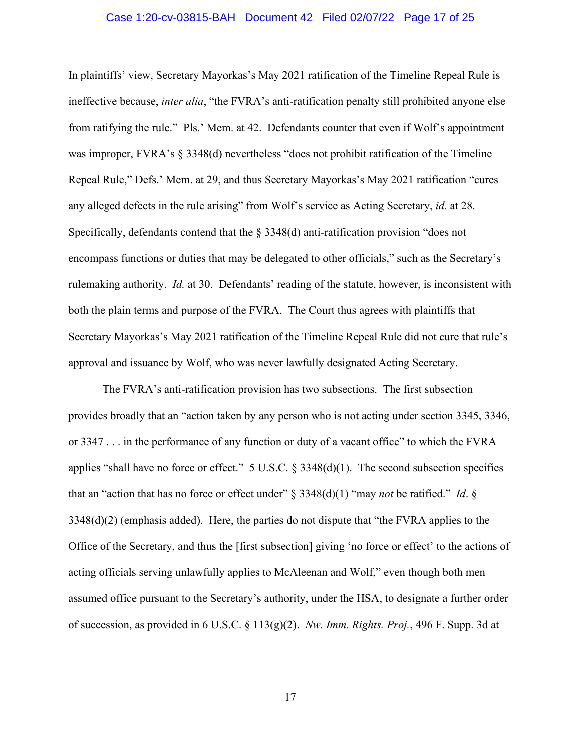### Case 1:20-cv-03815-BAH Document 42 Filed 02/07/22 Page 17 of 25

In plaintiffs' view, Secretary Mayorkas's May 2021 ratification of the Timeline Repeal Rule is ineffective because, *inter alia*, "the FVRA's anti-ratification penalty still prohibited anyone else from ratifying the rule." Pls.' Mem. at 42. Defendants counter that even if Wolf's appointment was improper, FVRA's § 3348(d) nevertheless "does not prohibit ratification of the Timeline Repeal Rule," Defs.' Mem. at 29, and thus Secretary Mayorkas's May 2021 ratification "cures any alleged defects in the rule arising" from Wolf's service as Acting Secretary, *id.* at 28. Specifically, defendants contend that the  $\S$  3348(d) anti-ratification provision "does not encompass functions or duties that may be delegated to other officials," such as the Secretary's rulemaking authority. *Id.* at 30. Defendants' reading of the statute, however, is inconsistent with both the plain terms and purpose of the FVRA. The Court thus agrees with plaintiffs that Secretary Mayorkas's May 2021 ratification of the Timeline Repeal Rule did not cure that rule's approval and issuance by Wolf, who was never lawfully designated Acting Secretary.

The FVRA's anti-ratification provision has two subsections. The first subsection provides broadly that an "action taken by any person who is not acting under section 3345, 3346, or 3347 . . . in the performance of any function or duty of a vacant office" to which the FVRA applies "shall have no force or effect."  $5 \text{ U.S.C.}$   $\S$   $3348(d)(1)$ . The second subsection specifies that an "action that has no force or effect under" § 3348(d)(1) "may *not* be ratified." *Id*. § 3348(d)(2) (emphasis added). Here, the parties do not dispute that "the FVRA applies to the Office of the Secretary, and thus the [first subsection] giving 'no force or effect' to the actions of acting officials serving unlawfully applies to McAleenan and Wolf," even though both men assumed office pursuant to the Secretary's authority, under the HSA, to designate a further order of succession, as provided in 6 U.S.C. § 113(g)(2). *Nw. Imm. Rights. Proj.*, 496 F. Supp. 3d at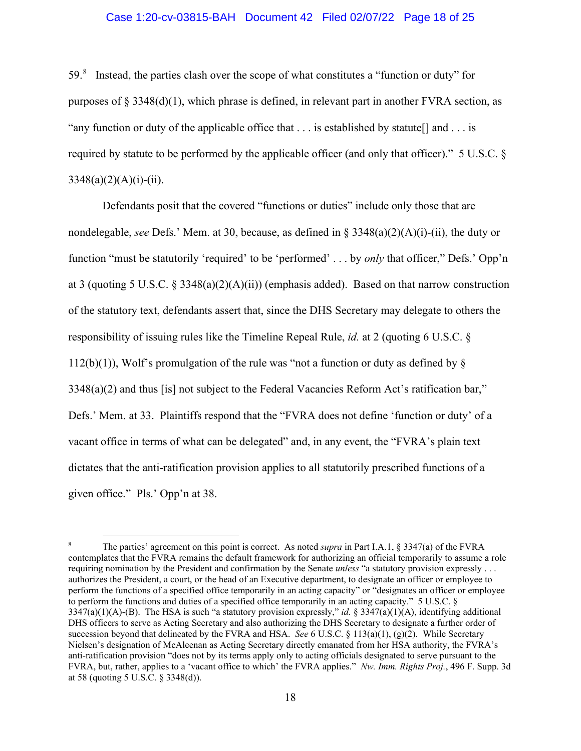### Case 1:20-cv-03815-BAH Document 42 Filed 02/07/22 Page 18 of 25

59.[8](#page-17-0) Instead, the parties clash over the scope of what constitutes a "function or duty" for purposes of  $\S 3348(d)(1)$ , which phrase is defined, in relevant part in another FVRA section, as "any function or duty of the applicable office that  $\dots$  is established by statute  $[]$  and  $\dots$  is required by statute to be performed by the applicable officer (and only that officer)." 5 U.S.C. §  $3348(a)(2)(A)(i)-(ii)$ .

Defendants posit that the covered "functions or duties" include only those that are nondelegable, *see* Defs.' Mem. at 30, because, as defined in § 3348(a)(2)(A)(i)-(ii), the duty or function "must be statutorily 'required' to be 'performed' . . . by *only* that officer," Defs.' Opp'n at 3 (quoting 5 U.S.C. § 3348(a)(2)(A)(ii)) (emphasis added). Based on that narrow construction of the statutory text, defendants assert that, since the DHS Secretary may delegate to others the responsibility of issuing rules like the Timeline Repeal Rule, *id.* at 2 (quoting 6 U.S.C. §  $112(b)(1)$ ), Wolf's promulgation of the rule was "not a function or duty as defined by § 3348(a)(2) and thus [is] not subject to the Federal Vacancies Reform Act's ratification bar," Defs.' Mem. at 33. Plaintiffs respond that the "FVRA does not define 'function or duty' of a vacant office in terms of what can be delegated" and, in any event, the "FVRA's plain text dictates that the anti-ratification provision applies to all statutorily prescribed functions of a given office." Pls.' Opp'n at 38.

<span id="page-17-0"></span><sup>8</sup> The parties' agreement on this point is correct. As noted *supra* in Part I.A.1, § 3347(a) of the FVRA contemplates that the FVRA remains the default framework for authorizing an official temporarily to assume a role requiring nomination by the President and confirmation by the Senate *unless* "a statutory provision expressly . . . authorizes the President, a court, or the head of an Executive department, to designate an officer or employee to perform the functions of a specified office temporarily in an acting capacity" or "designates an officer or employee to perform the functions and duties of a specified office temporarily in an acting capacity." 5 U.S.C. §  $3347(a)(1)(A)$ -(B). The HSA is such "a statutory provision expressly," *id.* §  $3347(a)(1)(A)$ , identifying additional DHS officers to serve as Acting Secretary and also authorizing the DHS Secretary to designate a further order of succession beyond that delineated by the FVRA and HSA. *See* 6 U.S.C. § 113(a)(1), (g)(2). While Secretary Nielsen's designation of McAleenan as Acting Secretary directly emanated from her HSA authority, the FVRA's anti-ratification provision "does not by its terms apply only to acting officials designated to serve pursuant to the FVRA, but, rather, applies to a 'vacant office to which' the FVRA applies." *Nw. Imm. Rights Proj.*, 496 F. Supp. 3d at 58 (quoting 5 U.S.C. § 3348(d)).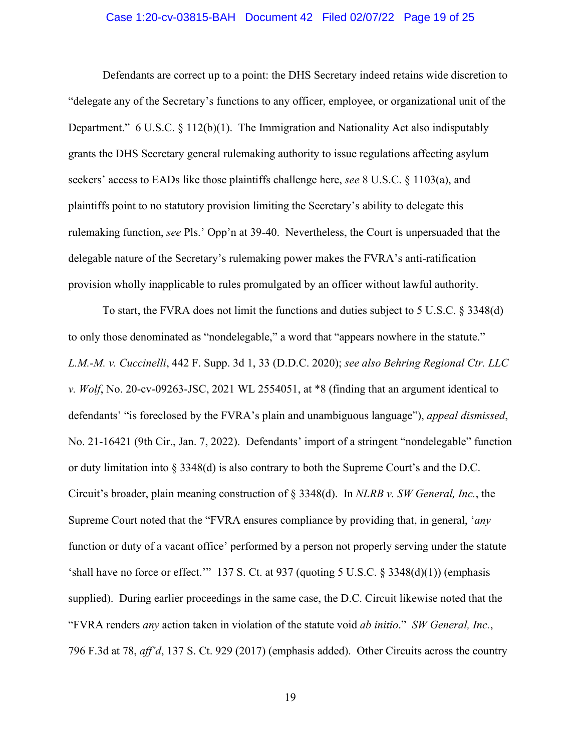### Case 1:20-cv-03815-BAH Document 42 Filed 02/07/22 Page 19 of 25

Defendants are correct up to a point: the DHS Secretary indeed retains wide discretion to "delegate any of the Secretary's functions to any officer, employee, or organizational unit of the Department."  $6 \text{ U.S.C. } 8 \text{ 112(b)(1)}.$  The Immigration and Nationality Act also indisputably grants the DHS Secretary general rulemaking authority to issue regulations affecting asylum seekers' access to EADs like those plaintiffs challenge here, *see* 8 U.S.C. § 1103(a), and plaintiffs point to no statutory provision limiting the Secretary's ability to delegate this rulemaking function, *see* Pls.' Opp'n at 39-40. Nevertheless, the Court is unpersuaded that the delegable nature of the Secretary's rulemaking power makes the FVRA's anti-ratification provision wholly inapplicable to rules promulgated by an officer without lawful authority.

To start, the FVRA does not limit the functions and duties subject to 5 U.S.C. § 3348(d) to only those denominated as "nondelegable," a word that "appears nowhere in the statute." *L.M.-M. v. Cuccinelli*, 442 F. Supp. 3d 1, 33 (D.D.C. 2020); *see also Behring Regional Ctr. LLC v. Wolf*, No. 20-cv-09263-JSC, 2021 WL 2554051, at \*8 (finding that an argument identical to defendants' "is foreclosed by the FVRA's plain and unambiguous language"), *appeal dismissed*, No. 21-16421 (9th Cir., Jan. 7, 2022). Defendants' import of a stringent "nondelegable" function or duty limitation into § 3348(d) is also contrary to both the Supreme Court's and the D.C. Circuit's broader, plain meaning construction of § 3348(d). In *NLRB v. SW General, Inc.*, the Supreme Court noted that the "FVRA ensures compliance by providing that, in general, '*any* function or duty of a vacant office' performed by a person not properly serving under the statute 'shall have no force or effect.'" 137 S. Ct. at 937 (quoting 5 U.S.C. § 3348(d)(1)) (emphasis supplied). During earlier proceedings in the same case, the D.C. Circuit likewise noted that the "FVRA renders *any* action taken in violation of the statute void *ab initio*." *SW General, Inc.*, 796 F.3d at 78, *aff'd*, 137 S. Ct. 929 (2017) (emphasis added). Other Circuits across the country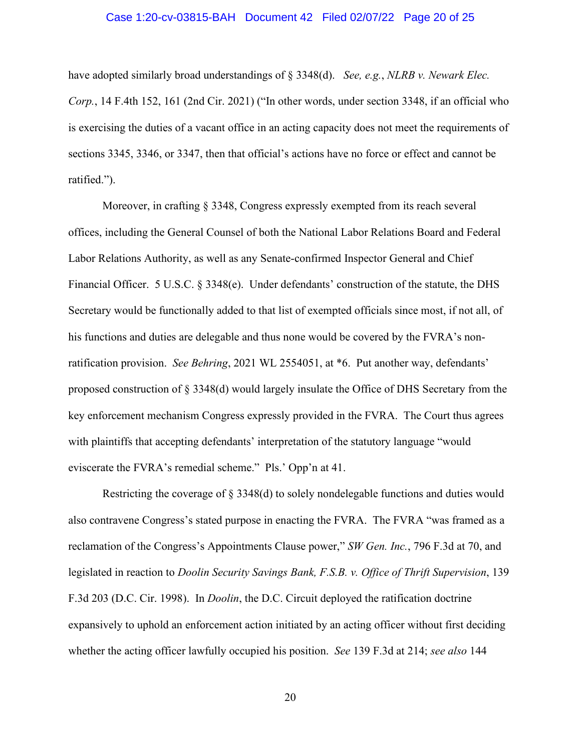### Case 1:20-cv-03815-BAH Document 42 Filed 02/07/22 Page 20 of 25

have adopted similarly broad understandings of § 3348(d). *See, e.g.*, *NLRB v. Newark Elec. Corp.*, 14 F.4th 152, 161 (2nd Cir. 2021) ("In other words, under section 3348, if an official who is exercising the duties of a vacant office in an acting capacity does not meet the requirements of sections 3345, 3346, or 3347, then that official's actions have no force or effect and cannot be ratified.").

Moreover, in crafting § 3348, Congress expressly exempted from its reach several offices, including the General Counsel of both the National Labor Relations Board and Federal Labor Relations Authority, as well as any Senate-confirmed Inspector General and Chief Financial Officer. 5 U.S.C. § 3348(e). Under defendants' construction of the statute, the DHS Secretary would be functionally added to that list of exempted officials since most, if not all, of his functions and duties are delegable and thus none would be covered by the FVRA's nonratification provision. *See Behring*, 2021 WL 2554051, at \*6. Put another way, defendants' proposed construction of § 3348(d) would largely insulate the Office of DHS Secretary from the key enforcement mechanism Congress expressly provided in the FVRA. The Court thus agrees with plaintiffs that accepting defendants' interpretation of the statutory language "would eviscerate the FVRA's remedial scheme." Pls.' Opp'n at 41.

Restricting the coverage of § 3348(d) to solely nondelegable functions and duties would also contravene Congress's stated purpose in enacting the FVRA. The FVRA "was framed as a reclamation of the Congress's Appointments Clause power," *SW Gen. Inc.*, 796 F.3d at 70, and legislated in reaction to *Doolin Security Savings Bank, F.S.B. v. Office of Thrift Supervision*, 139 F.3d 203 (D.C. Cir. 1998). In *Doolin*, the D.C. Circuit deployed the ratification doctrine expansively to uphold an enforcement action initiated by an acting officer without first deciding whether the acting officer lawfully occupied his position. *See* 139 F.3d at 214; *see also* 144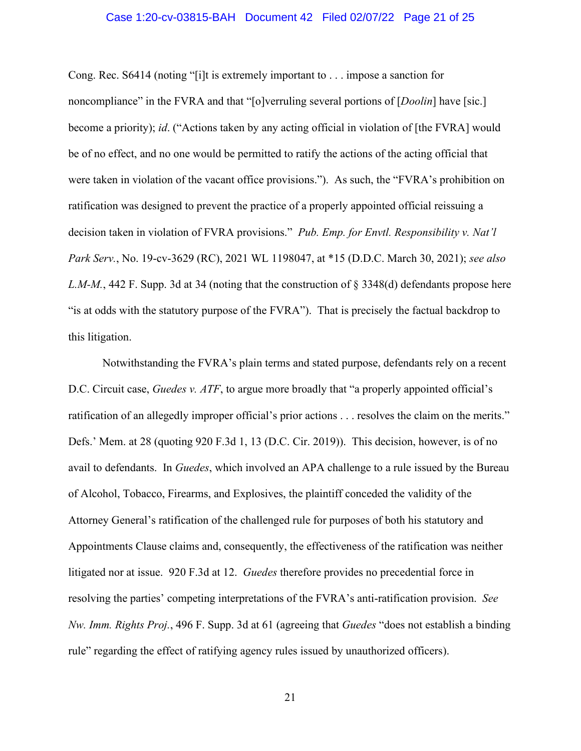### Case 1:20-cv-03815-BAH Document 42 Filed 02/07/22 Page 21 of 25

Cong. Rec. S6414 (noting "[i]t is extremely important to . . . impose a sanction for noncompliance" in the FVRA and that "[o]verruling several portions of [*Doolin*] have [sic.] become a priority); *id*. ("Actions taken by any acting official in violation of [the FVRA] would be of no effect, and no one would be permitted to ratify the actions of the acting official that were taken in violation of the vacant office provisions."). As such, the "FVRA's prohibition on ratification was designed to prevent the practice of a properly appointed official reissuing a decision taken in violation of FVRA provisions." *Pub. Emp. for Envtl. Responsibility v. Nat'l Park Serv.*, No. 19-cv-3629 (RC), 2021 WL 1198047, at \*15 (D.D.C. March 30, 2021); *see also L.M-M.*, 442 F. Supp. 3d at 34 (noting that the construction of § 3348(d) defendants propose here "is at odds with the statutory purpose of the FVRA"). That is precisely the factual backdrop to this litigation.

Notwithstanding the FVRA's plain terms and stated purpose, defendants rely on a recent D.C. Circuit case, *Guedes v. ATF*, to argue more broadly that "a properly appointed official's ratification of an allegedly improper official's prior actions . . . resolves the claim on the merits." Defs.' Mem. at 28 (quoting 920 F.3d 1, 13 (D.C. Cir. 2019)). This decision, however, is of no avail to defendants. In *Guedes*, which involved an APA challenge to a rule issued by the Bureau of Alcohol, Tobacco, Firearms, and Explosives, the plaintiff conceded the validity of the Attorney General's ratification of the challenged rule for purposes of both his statutory and Appointments Clause claims and, consequently, the effectiveness of the ratification was neither litigated nor at issue. 920 F.3d at 12. *Guedes* therefore provides no precedential force in resolving the parties' competing interpretations of the FVRA's anti-ratification provision. *See Nw. Imm. Rights Proj.*, 496 F. Supp. 3d at 61 (agreeing that *Guedes* "does not establish a binding rule" regarding the effect of ratifying agency rules issued by unauthorized officers).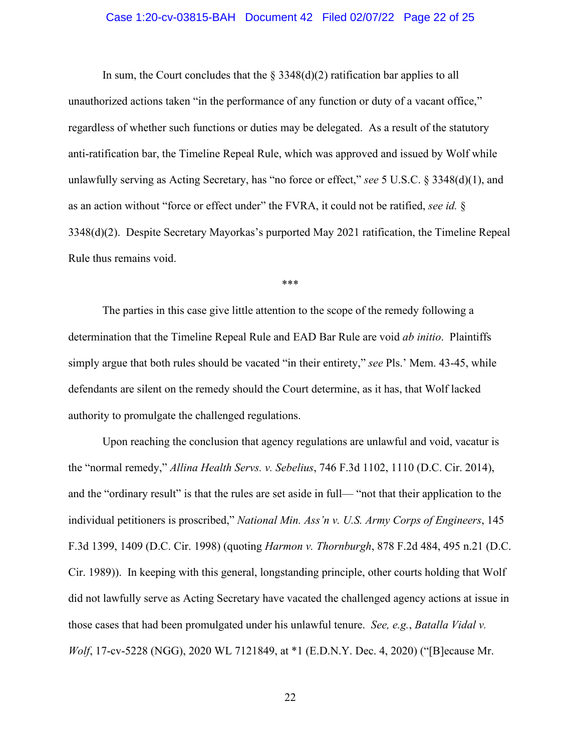### Case 1:20-cv-03815-BAH Document 42 Filed 02/07/22 Page 22 of 25

In sum, the Court concludes that the  $\S 3348(d)(2)$  ratification bar applies to all unauthorized actions taken "in the performance of any function or duty of a vacant office," regardless of whether such functions or duties may be delegated. As a result of the statutory anti-ratification bar, the Timeline Repeal Rule, which was approved and issued by Wolf while unlawfully serving as Acting Secretary, has "no force or effect," *see* 5 U.S.C. § 3348(d)(1), and as an action without "force or effect under" the FVRA, it could not be ratified, *see id.* § 3348(d)(2). Despite Secretary Mayorkas's purported May 2021 ratification, the Timeline Repeal Rule thus remains void.

\*\*\*

The parties in this case give little attention to the scope of the remedy following a determination that the Timeline Repeal Rule and EAD Bar Rule are void *ab initio*. Plaintiffs simply argue that both rules should be vacated "in their entirety," *see* Pls.' Mem. 43-45, while defendants are silent on the remedy should the Court determine, as it has, that Wolf lacked authority to promulgate the challenged regulations.

Upon reaching the conclusion that agency regulations are unlawful and void, vacatur is the "normal remedy," *Allina Health Servs. v. Sebelius*, 746 F.3d 1102, 1110 (D.C. Cir. 2014), and the "ordinary result" is that the rules are set aside in full— "not that their application to the individual petitioners is proscribed," *National Min. Ass'n v. U.S. Army Corps of Engineers*, 145 F.3d 1399, 1409 (D.C. Cir. 1998) (quoting *Harmon v. Thornburgh*, 878 F.2d 484, 495 n.21 (D.C. Cir. 1989)). In keeping with this general, longstanding principle, other courts holding that Wolf did not lawfully serve as Acting Secretary have vacated the challenged agency actions at issue in those cases that had been promulgated under his unlawful tenure. *See, e.g.*, *Batalla Vidal v. Wolf*, 17-cv-5228 (NGG), 2020 WL 7121849, at \*1 (E.D.N.Y. Dec. 4, 2020) ("[B]ecause Mr.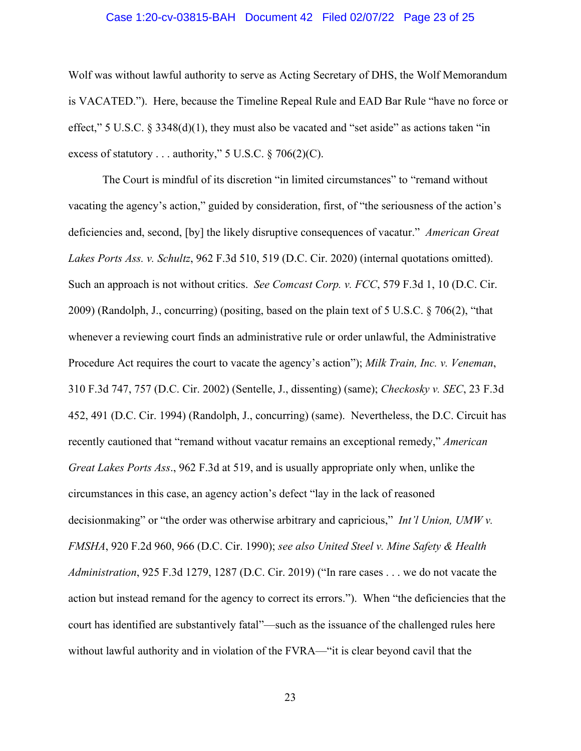### Case 1:20-cv-03815-BAH Document 42 Filed 02/07/22 Page 23 of 25

Wolf was without lawful authority to serve as Acting Secretary of DHS, the Wolf Memorandum is VACATED."). Here, because the Timeline Repeal Rule and EAD Bar Rule "have no force or effect," 5 U.S.C. § 3348(d)(1), they must also be vacated and "set aside" as actions taken "in excess of statutory . . . authority,"  $5 \text{ U.S.C.} \$   $706(2)(\text{C})$ .

The Court is mindful of its discretion "in limited circumstances" to "remand without vacating the agency's action," guided by consideration, first, of "the seriousness of the action's deficiencies and, second, [by] the likely disruptive consequences of vacatur." *American Great Lakes Ports Ass. v. Schultz*, 962 F.3d 510, 519 (D.C. Cir. 2020) (internal quotations omitted). Such an approach is not without critics. *See Comcast Corp. v. FCC*, 579 F.3d 1, 10 (D.C. Cir. 2009) (Randolph, J., concurring) (positing, based on the plain text of 5 U.S.C. § 706(2), "that whenever a reviewing court finds an administrative rule or order unlawful, the Administrative Procedure Act requires the court to vacate the agency's action"); *Milk Train, Inc. v. Veneman*, 310 F.3d 747, 757 (D.C. Cir. 2002) (Sentelle, J., dissenting) (same); *Checkosky v. SEC*, 23 F.3d 452, 491 (D.C. Cir. 1994) (Randolph, J., concurring) (same). Nevertheless, the D.C. Circuit has recently cautioned that "remand without vacatur remains an exceptional remedy," *American Great Lakes Ports Ass*., 962 F.3d at 519, and is usually appropriate only when, unlike the circumstances in this case, an agency action's defect "lay in the lack of reasoned decisionmaking" or "the order was otherwise arbitrary and capricious," *Int'l Union, UMW v. FMSHA*, 920 F.2d 960, 966 (D.C. Cir. 1990); *see also United Steel v. Mine Safety & Health Administration*, 925 F.3d 1279, 1287 (D.C. Cir. 2019) ("In rare cases . . . we do not vacate the action but instead remand for the agency to correct its errors."). When "the deficiencies that the court has identified are substantively fatal"—such as the issuance of the challenged rules here without lawful authority and in violation of the FVRA—"it is clear beyond cavil that the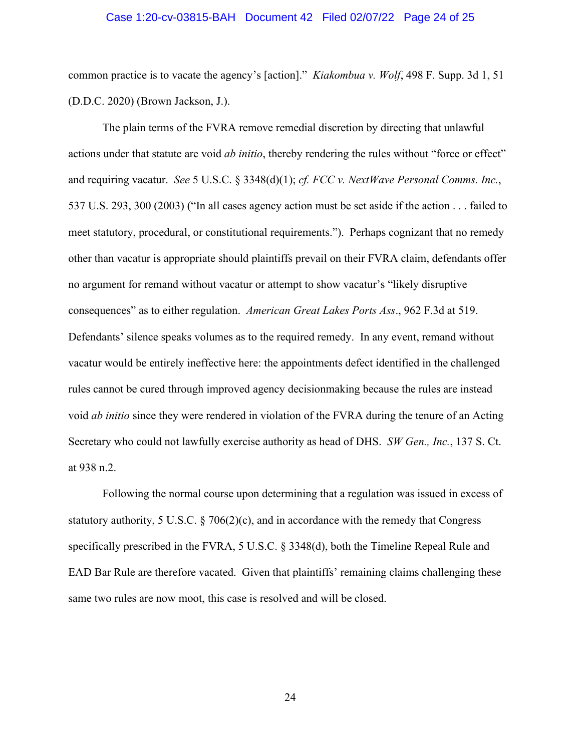#### Case 1:20-cv-03815-BAH Document 42 Filed 02/07/22 Page 24 of 25

common practice is to vacate the agency's [action]." *Kiakombua v. Wolf*, 498 F. Supp. 3d 1, 51 (D.D.C. 2020) (Brown Jackson, J.).

The plain terms of the FVRA remove remedial discretion by directing that unlawful actions under that statute are void *ab initio*, thereby rendering the rules without "force or effect" and requiring vacatur. *See* 5 U.S.C. § 3348(d)(1); *cf. FCC v. NextWave Personal Comms. Inc.*, 537 U.S. 293, 300 (2003) ("In all cases agency action must be set aside if the action . . . failed to meet statutory, procedural, or constitutional requirements."). Perhaps cognizant that no remedy other than vacatur is appropriate should plaintiffs prevail on their FVRA claim, defendants offer no argument for remand without vacatur or attempt to show vacatur's "likely disruptive consequences" as to either regulation. *American Great Lakes Ports Ass*., 962 F.3d at 519. Defendants' silence speaks volumes as to the required remedy. In any event, remand without vacatur would be entirely ineffective here: the appointments defect identified in the challenged rules cannot be cured through improved agency decisionmaking because the rules are instead void *ab initio* since they were rendered in violation of the FVRA during the tenure of an Acting Secretary who could not lawfully exercise authority as head of DHS. *SW Gen., Inc.*, 137 S. Ct. at 938 n.2.

Following the normal course upon determining that a regulation was issued in excess of statutory authority, 5 U.S.C. § 706(2)(c), and in accordance with the remedy that Congress specifically prescribed in the FVRA, 5 U.S.C. § 3348(d), both the Timeline Repeal Rule and EAD Bar Rule are therefore vacated. Given that plaintiffs' remaining claims challenging these same two rules are now moot, this case is resolved and will be closed.